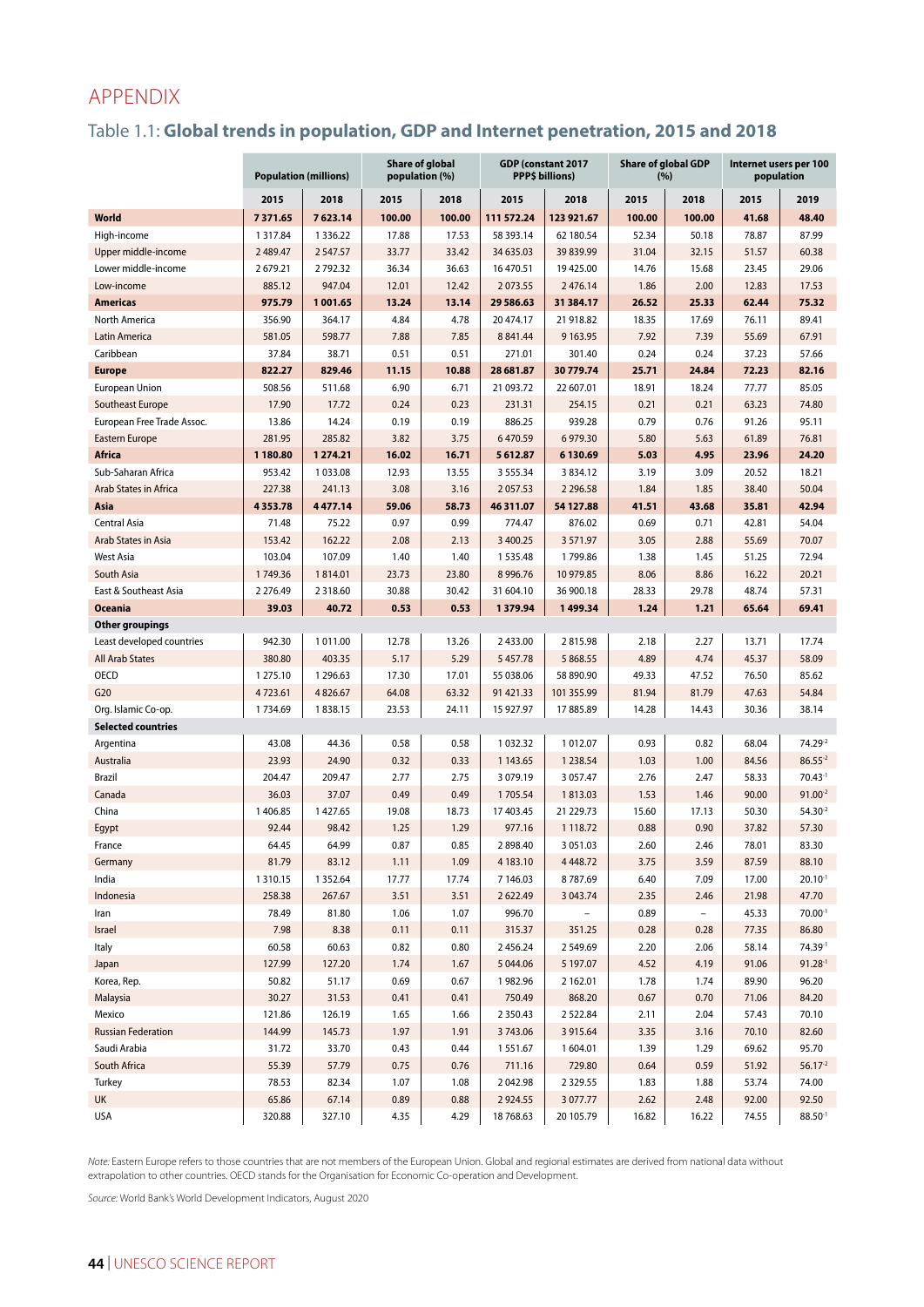# APPENDIX

# Table 1.1: **Global trends in population, GDP and Internet penetration, 2015 and 2018**

|                                       | <b>Population (millions)</b> |                      |               | <b>Share of global</b><br>population (%) |                            | GDP (constant 2017<br>PPP\$ billions) | <b>Share of global GDP</b><br>(%) |                          | Internet users per 100<br>population |                |  |
|---------------------------------------|------------------------------|----------------------|---------------|------------------------------------------|----------------------------|---------------------------------------|-----------------------------------|--------------------------|--------------------------------------|----------------|--|
|                                       | 2015                         | 2018                 | 2015          | 2018                                     | 2015                       | 2018                                  | 2015                              | 2018                     | 2015                                 | 2019           |  |
| World                                 | 7371.65                      | 7623.14              | 100.00        | 100.00                                   | 111 572.24                 | 123 921.67                            | 100.00                            | 100.00                   | 41.68                                | 48.40          |  |
| High-income                           | 1 3 1 7 .84                  | 1336.22              | 17.88         | 17.53                                    | 58 393.14                  | 62 180.54                             | 52.34                             | 50.18                    | 78.87                                | 87.99          |  |
| Upper middle-income                   | 2 489.47                     | 2547.57              | 33.77         | 33.42                                    | 34 635.03                  | 39 839.99                             | 31.04                             | 32.15                    | 51.57                                | 60.38          |  |
| Lower middle-income                   | 2679.21                      | 2792.32              | 36.34         | 36.63                                    | 16 470.51                  | 19 425.00                             | 14.76                             | 15.68                    | 23.45                                | 29.06          |  |
| Low-income                            | 885.12                       | 947.04               | 12.01         | 12.42                                    | 2073.55                    | 2 476.14                              | 1.86                              | 2.00                     | 12.83                                | 17.53          |  |
| <b>Americas</b>                       | 975.79                       | 1001.65              | 13.24         | 13.14                                    | 29 586.63                  | 31 384.17                             | 26.52                             | 25.33                    | 62.44                                | 75.32          |  |
| North America                         | 356.90                       | 364.17               | 4.84          | 4.78                                     | 20 474.17                  | 21 918.82                             | 18.35                             | 17.69                    | 76.11                                | 89.41          |  |
| Latin America                         | 581.05                       | 598.77               | 7.88          | 7.85                                     | 8 8 4 1.44                 | 9 1 6 3 . 9 5                         | 7.92                              | 7.39                     | 55.69                                | 67.91          |  |
| Caribbean                             | 37.84                        | 38.71                | 0.51          | 0.51                                     | 271.01                     | 301.40                                | 0.24                              | 0.24                     | 37.23                                | 57.66          |  |
| <b>Europe</b>                         | 822.27                       | 829.46               | 11.15         | 10.88                                    | 28 681.87                  | 30779.74                              | 25.71                             | 24.84                    | 72.23                                | 82.16          |  |
| <b>European Union</b>                 | 508.56                       | 511.68               | 6.90          | 6.71                                     | 21 093.72                  | 22 607.01                             | 18.91                             | 18.24                    | 77.77                                | 85.05          |  |
| Southeast Europe                      | 17.90                        | 17.72                | 0.24          | 0.23                                     | 231.31                     | 254.15                                | 0.21                              | 0.21                     | 63.23                                | 74.80          |  |
| European Free Trade Assoc.            | 13.86                        | 14.24                | 0.19          | 0.19                                     | 886.25                     | 939.28                                | 0.79                              | 0.76                     | 91.26                                | 95.11          |  |
| <b>Eastern Europe</b>                 | 281.95                       | 285.82               | 3.82          | 3.75                                     | 6470.59                    | 6979.30                               | 5.80                              | 5.63                     | 61.89                                | 76.81          |  |
| <b>Africa</b>                         | 1 180.80                     | 1274.21              | 16.02         | 16.71                                    | 5612.87                    | 6130.69                               | 5.03                              | 4.95                     | 23.96                                | 24.20          |  |
| Sub-Saharan Africa                    | 953.42                       | 1033.08              | 12.93         | 13.55                                    | 3 5 5 5 3 4                | 3834.12                               | 3.19                              | 3.09                     | 20.52                                | 18.21          |  |
| Arab States in Africa                 | 227.38                       | 241.13               | 3.08          | 3.16                                     | 2057.53                    | 2 2 9 6.58                            | 1.84                              | 1.85                     | 38.40                                | 50.04          |  |
| Asia                                  | 4353.78                      | 4477.14              | 59.06         | 58.73                                    | 46 311.07                  | 54 127.88                             | 41.51                             | 43.68                    | 35.81                                | 42.94          |  |
| <b>Central Asia</b>                   | 71.48                        | 75.22                | 0.97          | 0.99                                     | 774.47                     | 876.02                                | 0.69                              | 0.71                     | 42.81                                | 54.04          |  |
| Arab States in Asia                   | 153.42                       | 162.22               | 2.08          | 2.13                                     | 3 400.25                   | 3 5 7 1 . 9 7                         | 3.05                              | 2.88                     | 55.69                                | 70.07          |  |
| <b>West Asia</b>                      | 103.04                       | 107.09               | 1.40          | 1.40                                     | 1535.48                    | 1799.86                               | 1.38                              | 1.45                     | 51.25                                | 72.94          |  |
| South Asia                            | 1749.36                      | 1814.01              | 23.73         | 23.80                                    | 8 9 9 6.76                 | 10 979.85                             | 8.06                              | 8.86                     | 16.22                                | 20.21          |  |
| East & Southeast Asia                 | 2 2 7 6.49                   | 2318.60              | 30.88         | 30.42                                    | 31 604.10                  | 36 900.18                             | 28.33                             | 29.78                    | 48.74                                | 57.31          |  |
| <b>Oceania</b>                        | 39.03                        | 40.72                | 0.53          | 0.53                                     | 1379.94                    | 1499.34                               | 1.24                              | 1.21                     | 65.64                                | 69.41          |  |
| <b>Other groupings</b>                |                              |                      |               |                                          |                            |                                       |                                   |                          |                                      |                |  |
| Least developed countries             | 942.30                       | 1011.00              | 12.78         | 13.26                                    | 2433.00                    | 2815.98                               | 2.18                              | 2.27                     | 13.71                                | 17.74          |  |
| <b>All Arab States</b><br><b>OECD</b> | 380.80<br>1 275.10           | 403.35<br>1 2 9 6.63 | 5.17<br>17.30 | 5.29<br>17.01                            | 5 4 5 7 . 7 8<br>55 038.06 | 5 868.55<br>58 890.90                 | 4.89<br>49.33                     | 4.74<br>47.52            | 45.37<br>76.50                       | 58.09<br>85.62 |  |
| G20                                   | 4723.61                      | 4826.67              | 64.08         | 63.32                                    | 91 421.33                  | 101 355.99                            | 81.94                             | 81.79                    | 47.63                                | 54.84          |  |
| Org. Islamic Co-op.                   | 1734.69                      | 1838.15              | 23.53         | 24.11                                    | 15 927.97                  | 17885.89                              | 14.28                             | 14.43                    | 30.36                                | 38.14          |  |
| <b>Selected countries</b>             |                              |                      |               |                                          |                            |                                       |                                   |                          |                                      |                |  |
| Argentina                             | 43.08                        | 44.36                | 0.58          | 0.58                                     | 1 0 3 2 . 3 2              | 1012.07                               | 0.93                              | 0.82                     | 68.04                                | 74.29-2        |  |
| Australia                             | 23.93                        | 24.90                | 0.32          | 0.33                                     | 1 143.65                   | 1 2 3 8.54                            | 1.03                              | 1.00                     | 84.56                                | $86.55^{2}$    |  |
| <b>Brazil</b>                         | 204.47                       | 209.47               | 2.77          | 2.75                                     | 3 0 7 9 1 9                | 3 0 5 7.47                            | 2.76                              | 2.47                     | 58.33                                | $70.43 - 1$    |  |
| Canada                                | 36.03                        | 37.07                | 0.49          | 0.49                                     | 1705.54                    | 1813.03                               | 1.53                              | 1.46                     | 90.00                                | $91.00^{-2}$   |  |
| China                                 | 1406.85                      | 1427.65              | 19.08         | 18.73                                    | 17 403.45                  | 21 229.73                             | 15.60                             | 17.13                    | 50.30                                | $54.30^{2}$    |  |
| Egypt                                 | 92.44                        | 98.42                | 1.25          | 1.29                                     | 977.16                     | 1 1 18.72                             | 0.88                              | 0.90                     | 37.82                                | 57.30          |  |
| France                                | 64.45                        | 64.99                | 0.87          | 0.85                                     | 2898.40                    | 3 0 5 1 .0 3                          | 2.60                              | 2.46                     | 78.01                                | 83.30          |  |
| Germany                               | 81.79                        | 83.12                | 1.11          | 1.09                                     | 4 183.10                   | 4 4 4 8 .72                           | 3.75                              | 3.59                     | 87.59                                | 88.10          |  |
| India                                 | 1310.15                      | 1352.64              | 17.77         | 17.74                                    | 7 146.03                   | 8787.69                               | 6.40                              | 7.09                     | 17.00                                | $20.10^{-1}$   |  |
| Indonesia                             | 258.38                       | 267.67               | 3.51          | 3.51                                     | 2622.49                    | 3 043.74                              | 2.35                              | 2.46                     | 21.98                                | 47.70          |  |
| Iran                                  | 78.49                        | 81.80                | 1.06          | 1.07                                     | 996.70                     |                                       | 0.89                              | $\overline{\phantom{a}}$ | 45.33                                | $70.00^{-1}$   |  |
| Israel                                | 7.98                         | 8.38                 | 0.11          | 0.11                                     | 315.37                     | 351.25                                | 0.28                              | 0.28                     | 77.35                                | 86.80          |  |
| Italy                                 | 60.58                        | 60.63                | 0.82          | 0.80                                     | 2456.24                    | 2549.69                               | 2.20                              | 2.06                     | 58.14                                | 74.39-1        |  |
| Japan                                 | 127.99                       | 127.20               | 1.74          | 1.67                                     | 5 044.06                   | 5 197.07                              | 4.52                              | 4.19                     | 91.06                                | $91.28 - 1$    |  |
| Korea, Rep.                           | 50.82                        | 51.17                | 0.69          | 0.67                                     | 1982.96                    | 2 162.01                              | 1.78                              | 1.74                     | 89.90                                | 96.20          |  |
| Malaysia                              | 30.27                        | 31.53                | 0.41          | 0.41                                     | 750.49                     | 868.20                                | 0.67                              | 0.70                     | 71.06                                | 84.20          |  |
| Mexico                                | 121.86                       | 126.19               | 1.65          | 1.66                                     | 2 3 5 0.4 3                | 2522.84                               | 2.11                              | 2.04                     | 57.43                                | 70.10          |  |
| <b>Russian Federation</b>             | 144.99                       | 145.73               | 1.97          | 1.91                                     | 3743.06                    | 3 9 1 5 . 6 4                         | 3.35                              | 3.16                     | 70.10                                | 82.60          |  |
| Saudi Arabia                          | 31.72                        | 33.70                | 0.43          | 0.44                                     | 1551.67                    | 1604.01                               | 1.39                              | 1.29                     | 69.62                                | 95.70          |  |
| South Africa                          | 55.39                        | 57.79                | 0.75          | 0.76                                     | 711.16                     | 729.80                                | 0.64                              | 0.59                     | 51.92                                | $56.17-2$      |  |
| Turkey                                | 78.53                        | 82.34                | 1.07          | 1.08                                     | 2042.98                    | 2 3 2 9.55                            | 1.83                              | 1.88                     | 53.74                                | 74.00          |  |
| UK                                    | 65.86                        | 67.14                | 0.89          | 0.88                                     | 2924.55                    | 3 0 7 7.77                            | 2.62                              | 2.48                     | 92.00                                | 92.50          |  |
| <b>USA</b>                            | 320.88                       | 327.10               | 4.35          | 4.29                                     | 18 768.63                  | 20 105.79                             | 16.82                             | 16.22                    | 74.55                                | $88.50^{-1}$   |  |

*Note:* Eastern Europe refers to those countries that are not members of the European Union. Global and regional estimates are derived from national data without extrapolation to other countries. OECD stands for the Organisation for Economic Co-operation and Development.

*Source:* World Bank's World Development Indicators, August 2020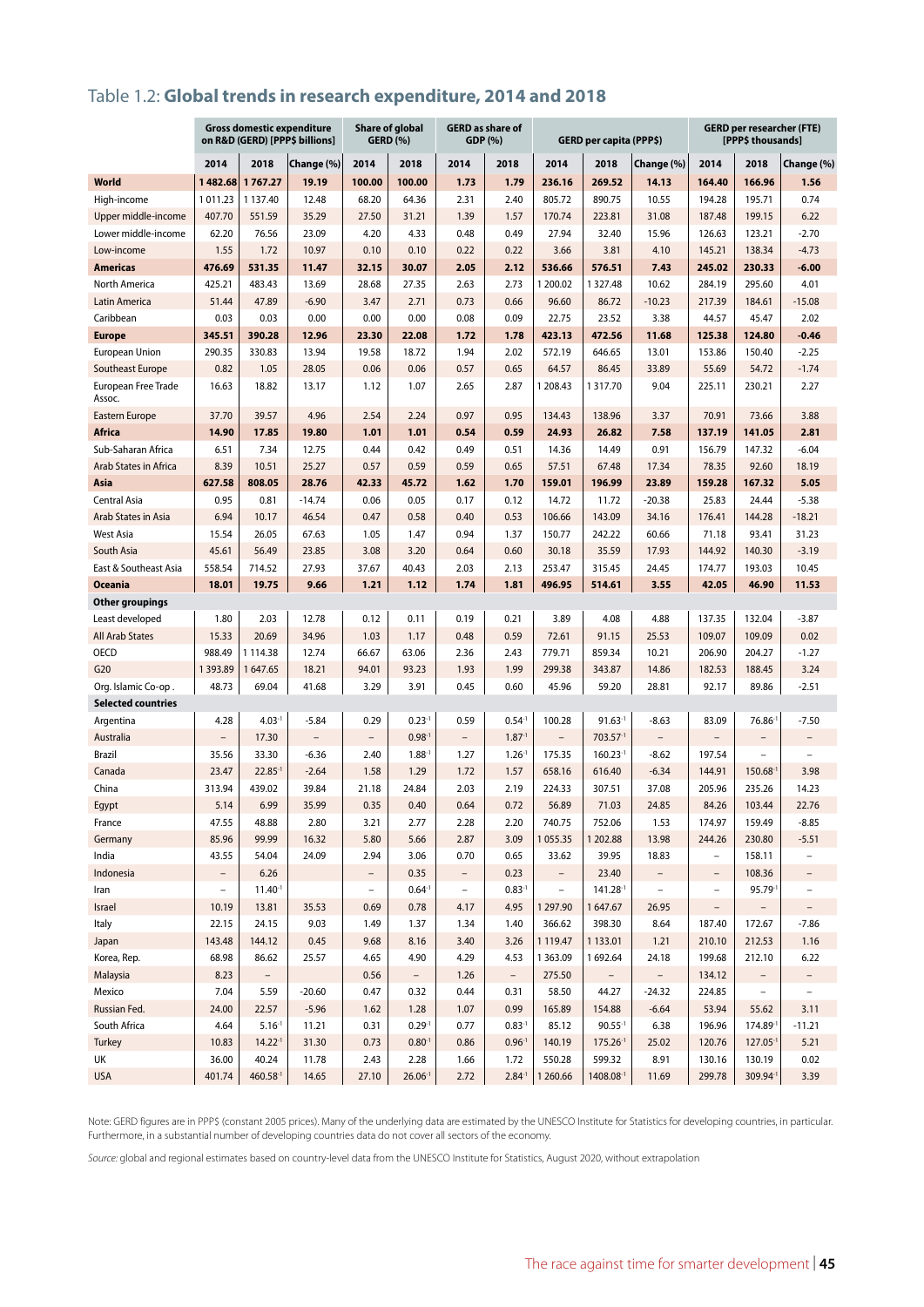# Table 1.2: **Global trends in research expenditure, 2014 and 2018**

|                               | <b>Gross domestic expenditure</b><br>on R&D (GERD) [PPP\$ billions] |                |                |                          | Share of global<br><b>GERD (%)</b> | GDP (%)                  | <b>GERD</b> as share of  |                          | GERD per capita (PPP\$) |                          | <b>GERD per researcher (FTE)</b><br><b>[PPPS thousands]</b> |                          |                   |  |
|-------------------------------|---------------------------------------------------------------------|----------------|----------------|--------------------------|------------------------------------|--------------------------|--------------------------|--------------------------|-------------------------|--------------------------|-------------------------------------------------------------|--------------------------|-------------------|--|
|                               | 2014                                                                | 2018           | Change (%)     | 2014                     | 2018                               | 2014                     | 2018                     | 2014                     | 2018                    | Change (%)               | 2014                                                        | 2018                     | Change (%)        |  |
| <b>World</b>                  | 1482.68                                                             | 1767.27        | 19.19          | 100.00                   | 100.00                             | 1.73                     | 1.79                     | 236.16                   | 269.52                  | 14.13                    | 164.40                                                      | 166.96                   | 1.56              |  |
| High-income                   | 1011.23                                                             | 1 137.40       | 12.48          | 68.20                    | 64.36                              | 2.31                     | 2.40                     | 805.72                   | 890.75                  | 10.55                    | 194.28                                                      | 195.71                   | 0.74              |  |
| Upper middle-income           | 407.70                                                              | 551.59         | 35.29          | 27.50                    | 31.21                              | 1.39                     | 1.57                     | 170.74                   | 223.81                  | 31.08                    | 187.48                                                      | 199.15                   | 6.22              |  |
| Lower middle-income           | 62.20                                                               | 76.56          | 23.09          | 4.20                     | 4.33                               | 0.48                     | 0.49                     | 27.94                    | 32.40                   | 15.96                    | 126.63                                                      | 123.21                   | $-2.70$           |  |
| Low-income                    | 1.55                                                                | 1.72           | 10.97          | 0.10                     | 0.10                               | 0.22                     | 0.22                     | 3.66                     | 3.81                    | 4.10                     | 145.21                                                      | 138.34                   | $-4.73$           |  |
| <b>Americas</b>               | 476.69                                                              | 531.35         | 11.47          | 32.15                    | 30.07                              | 2.05                     | 2.12                     | 536.66                   | 576.51                  | 7.43                     | 245.02                                                      | 230.33                   | $-6.00$           |  |
| North America                 | 425.21                                                              | 483.43         | 13.69          | 28.68                    | 27.35                              | 2.63                     | 2.73                     | 1 200.02                 | 1 3 2 7 . 4 8           | 10.62                    | 284.19                                                      | 295.60                   | 4.01              |  |
| Latin America                 | 51.44                                                               | 47.89          | $-6.90$        | 3.47                     | 2.71                               | 0.73                     | 0.66                     | 96.60                    | 86.72                   | $-10.23$                 | 217.39                                                      | 184.61                   | $-15.08$          |  |
| Caribbean                     | 0.03                                                                | 0.03           | 0.00           | 0.00                     | 0.00                               | 0.08                     | 0.09                     | 22.75                    | 23.52                   | 3.38                     | 44.57                                                       | 45.47                    | 2.02              |  |
| <b>Europe</b>                 | 345.51                                                              | 390.28         | 12.96          | 23.30                    | 22.08                              | 1.72                     | 1.78                     | 423.13                   | 472.56                  | 11.68                    | 125.38                                                      | 124.80                   | $-0.46$           |  |
| European Union                | 290.35                                                              | 330.83         | 13.94          | 19.58                    | 18.72                              | 1.94                     | 2.02                     | 572.19                   | 646.65                  | 13.01                    | 153.86                                                      | 150.40                   | $-2.25$           |  |
| Southeast Europe              | 0.82                                                                | 1.05           | 28.05          | 0.06                     | 0.06                               | 0.57                     | 0.65                     | 64.57                    | 86.45                   | 33.89                    | 55.69                                                       | 54.72                    | $-1.74$           |  |
| European Free Trade<br>Assoc. | 16.63                                                               | 18.82          | 13.17          | 1.12                     | 1.07                               | 2.65                     | 2.87                     | 1 208.43                 | 1317.70                 | 9.04                     | 225.11                                                      | 230.21                   | 2.27              |  |
| Eastern Europe                | 37.70                                                               | 39.57          | 4.96           | 2.54                     | 2.24                               | 0.97                     | 0.95                     | 134.43                   | 138.96                  | 3.37                     | 70.91                                                       | 73.66                    | 3.88              |  |
| <b>Africa</b>                 | 14.90                                                               | 17.85          | 19.80          | 1.01                     | 1.01                               | 0.54                     | 0.59                     | 24.93                    | 26.82                   | 7.58                     | 137.19                                                      | 141.05                   | 2.81              |  |
| Sub-Saharan Africa            | 6.51                                                                | 7.34           | 12.75          | 0.44                     | 0.42                               | 0.49                     | 0.51                     | 14.36                    | 14.49                   | 0.91                     | 156.79                                                      | 147.32                   | $-6.04$           |  |
| Arab States in Africa         | 8.39                                                                | 10.51          | 25.27          | 0.57                     | 0.59                               | 0.59                     | 0.65                     | 57.51                    | 67.48                   | 17.34                    | 78.35                                                       | 92.60                    | 18.19             |  |
| Asia                          | 627.58                                                              | 808.05         | 28.76          | 42.33                    | 45.72                              | 1.62                     | 1.70                     | 159.01                   | 196.99                  | 23.89                    | 159.28                                                      | 167.32                   | 5.05              |  |
| <b>Central Asia</b>           | 0.95                                                                | 0.81           | $-14.74$       | 0.06                     | 0.05                               | 0.17                     | 0.12                     | 14.72                    | 11.72                   | $-20.38$                 | 25.83                                                       | 24.44                    | $-5.38$           |  |
| Arab States in Asia           | 6.94                                                                | 10.17          | 46.54          | 0.47                     | 0.58                               | 0.40                     | 0.53                     | 106.66                   | 143.09                  | 34.16                    | 176.41                                                      | 144.28                   | $-18.21$          |  |
| West Asia                     | 15.54                                                               | 26.05          | 67.63          | 1.05                     | 1.47                               | 0.94                     | 1.37                     | 150.77                   | 242.22                  | 60.66                    | 71.18                                                       | 93.41                    | 31.23             |  |
| South Asia                    | 45.61                                                               | 56.49          | 23.85          | 3.08                     | 3.20                               | 0.64                     | 0.60                     | 30.18                    | 35.59                   | 17.93                    | 144.92                                                      | 140.30                   | $-3.19$           |  |
| East & Southeast Asia         | 558.54                                                              | 714.52         | 27.93          | 37.67                    | 40.43                              | 2.03                     | 2.13                     | 253.47                   | 315.45                  | 24.45                    | 174.77                                                      | 193.03                   | 10.45             |  |
| <b>Oceania</b>                | 18.01                                                               | 19.75          | 9.66           | 1.21                     | 1.12                               | 1.74                     | 1.81                     | 496.95                   | 514.61                  | 3.55                     | 42.05                                                       | 46.90                    | 11.53             |  |
| Other groupings               |                                                                     |                |                |                          |                                    |                          |                          |                          |                         |                          |                                                             |                          |                   |  |
| Least developed               | 1.80                                                                | 2.03           | 12.78          | 0.12                     | 0.11                               | 0.19                     | 0.21                     | 3.89                     | 4.08                    | 4.88                     | 137.35                                                      | 132.04                   | $-3.87$           |  |
| <b>All Arab States</b>        | 15.33                                                               | 20.69          | 34.96          | 1.03                     | 1.17                               | 0.48                     | 0.59                     | 72.61                    | 91.15                   | 25.53                    | 109.07                                                      | 109.09                   | 0.02              |  |
| <b>OECD</b>                   | 988.49                                                              | 1114.38        | 12.74          | 66.67                    | 63.06                              | 2.36                     | 2.43                     | 779.71                   | 859.34                  | 10.21                    | 206.90                                                      | 204.27                   | $-1.27$           |  |
| G20                           | 1 3 9 3 . 8 9                                                       | 1647.65        | 18.21          | 94.01                    | 93.23                              | 1.93                     | 1.99                     | 299.38                   | 343.87                  | 14.86                    | 182.53                                                      | 188.45                   | 3.24              |  |
| Org. Islamic Co-op.           | 48.73                                                               | 69.04          | 41.68          | 3.29                     | 3.91                               | 0.45                     | 0.60                     | 45.96                    | 59.20                   | 28.81                    | 92.17                                                       | 89.86                    | $-2.51$           |  |
| <b>Selected countries</b>     |                                                                     |                |                |                          |                                    |                          |                          |                          |                         |                          |                                                             |                          |                   |  |
| Argentina                     | 4.28                                                                | $4.03 - 1$     | $-5.84$        | 0.29                     | $0.23 - 1$                         | 0.59                     | $0.54-1$                 | 100.28                   | $91.63 - 1$             | $-8.63$                  | 83.09                                                       | $76.86^{-1}$             | $-7.50$           |  |
| Australia                     | $\overline{\phantom{a}}$                                            | 17.30          | $\overline{a}$ | $\overline{\phantom{0}}$ | $0.98 - 1$                         | $\overline{\phantom{a}}$ | $1.87 - 1$               | $\overline{\phantom{a}}$ | 703.57-1                | $\overline{\phantom{0}}$ |                                                             | $\overline{\phantom{a}}$ | -                 |  |
| Brazil                        | 35.56                                                               | 33.30          | $-6.36$        | 2.40                     | $1.88-1$                           | 1.27                     | $1.26 -$                 | 175.35                   | $160.23-1$              | $-8.62$                  | 197.54                                                      | $\overline{\phantom{a}}$ | $\overline{a}$    |  |
| Canada                        | 23.47                                                               | $22.85^{-1}$   | $-2.64$        | 1.58                     | 1.29                               | 1.72                     | 1.57                     | 658.16                   | 616.40                  | $-6.34$                  | 144.91                                                      | 150.68                   | 3.98              |  |
| China                         | 313.94<br>5.14                                                      | 439.02<br>6.99 | 39.84<br>35.99 | 21.18<br>0.35            | 24.84<br>0.40                      | 2.03<br>0.64             | 2.19<br>0.72             | 224.33<br>56.89          | 307.51<br>71.03         | 37.08<br>24.85           | 205.96<br>84.26                                             | 235.26<br>103.44         | 14.23<br>22.76    |  |
| Egypt<br>France               | 47.55                                                               | 48.88          | 2.80           |                          | 2.77                               | 2.28                     |                          | 740.75                   | 752.06                  |                          | 174.97                                                      | 159.49                   | $-8.85$           |  |
| Germany                       | 85.96                                                               | 99.99          | 16.32          | 3.21<br>5.80             | 5.66                               | 2.87                     | 2.20<br>3.09             | 1055.35                  | 1 202.88                | 1.53<br>13.98            | 244.26                                                      | 230.80                   | $-5.51$           |  |
| India                         | 43.55                                                               | 54.04          | 24.09          | 2.94                     | 3.06                               | 0.70                     | 0.65                     | 33.62                    | 39.95                   | 18.83                    | $\qquad \qquad -$                                           | 158.11                   |                   |  |
| Indonesia                     | $\overline{\phantom{0}}$                                            | 6.26           |                | $\qquad \qquad -$        | 0.35                               | $\overline{\phantom{0}}$ | 0.23                     | $\overline{\phantom{a}}$ | 23.40                   |                          | $\qquad \qquad -$                                           | 108.36                   |                   |  |
| Iran                          | $\overline{\phantom{0}}$                                            | $11.40-1$      |                | $\qquad \qquad -$        | $0.64 - 1$                         | $\overline{\phantom{0}}$ | $0.83 - 1$               | $\overline{\phantom{0}}$ | 141.28-1                | $\overline{\phantom{0}}$ | $\overline{\phantom{m}}$                                    | 95.79-1                  | $\qquad \qquad -$ |  |
| Israel                        | 10.19                                                               | 13.81          | 35.53          | 0.69                     | 0.78                               | 4.17                     | 4.95                     | 1297.90                  | 1647.67                 | 26.95                    | $\overline{\phantom{a}}$                                    |                          |                   |  |
| Italy                         | 22.15                                                               | 24.15          | 9.03           | 1.49                     | 1.37                               | 1.34                     | 1.40                     | 366.62                   | 398.30                  | 8.64                     | 187.40                                                      | 172.67                   | $-7.86$           |  |
| Japan                         | 143.48                                                              | 144.12         | 0.45           | 9.68                     | 8.16                               | 3.40                     | 3.26                     | 1119.47                  | 1133.01                 | 1.21                     | 210.10                                                      | 212.53                   | 1.16              |  |
| Korea, Rep.                   | 68.98                                                               | 86.62          | 25.57          | 4.65                     | 4.90                               | 4.29                     | 4.53                     | 1 3 6 3 . 0 9            | 1692.64                 | 24.18                    | 199.68                                                      | 212.10                   | 6.22              |  |
| Malaysia                      | 8.23                                                                |                |                | 0.56                     | $\overline{\phantom{0}}$           | 1.26                     | $\overline{\phantom{0}}$ | 275.50                   |                         |                          | 134.12                                                      | $\overline{\phantom{0}}$ |                   |  |
| Mexico                        | 7.04                                                                | 5.59           | $-20.60$       | 0.47                     | 0.32                               | 0.44                     | 0.31                     | 58.50                    | 44.27                   | $-24.32$                 | 224.85                                                      | $\overline{\phantom{a}}$ | $\overline{a}$    |  |
| Russian Fed.                  | 24.00                                                               | 22.57          | $-5.96$        | 1.62                     | 1.28                               | 1.07                     | 0.99                     | 165.89                   | 154.88                  | $-6.64$                  | 53.94                                                       | 55.62                    | 3.11              |  |
| South Africa                  | 4.64                                                                | $5.16^{-1}$    | 11.21          | 0.31                     | $0.29-1$                           | 0.77                     | $0.83 - 1$               | 85.12                    | $90.55 - 1$             | 6.38                     | 196.96                                                      | 174.89-1                 | $-11.21$          |  |
| Turkey                        | 10.83                                                               | $14.22-1$      | 31.30          | 0.73                     | $0.80^{-1}$                        | 0.86                     | $0.96 - 1$               | 140.19                   | $175.26-1$              | 25.02                    | 120.76                                                      | $127.05 -$               | 5.21              |  |
| UK                            | 36.00                                                               | 40.24          | 11.78          | 2.43                     | 2.28                               | 1.66                     | 1.72                     | 550.28                   | 599.32                  | 8.91                     | 130.16                                                      | 130.19                   | 0.02              |  |
| <b>USA</b>                    | 401.74                                                              | 460.58-1       | 14.65          | 27.10                    | $26.06^{-1}$                       | 2.72                     | $2.84 - 1$               | 1 260.66                 | 1408.08-1               | 11.69                    | 299.78                                                      | 309.94-1                 | 3.39              |  |

Note: GERD figures are in PPP\$ (constant 2005 prices). Many of the underlying data are estimated by the UNESCO Institute for Statistics for developing countries, in particular. Furthermore, in a substantial number of developing countries data do not cover all sectors of the economy.

*Source:* global and regional estimates based on country-level data from the UNESCO Institute for Statistics, August 2020, without extrapolation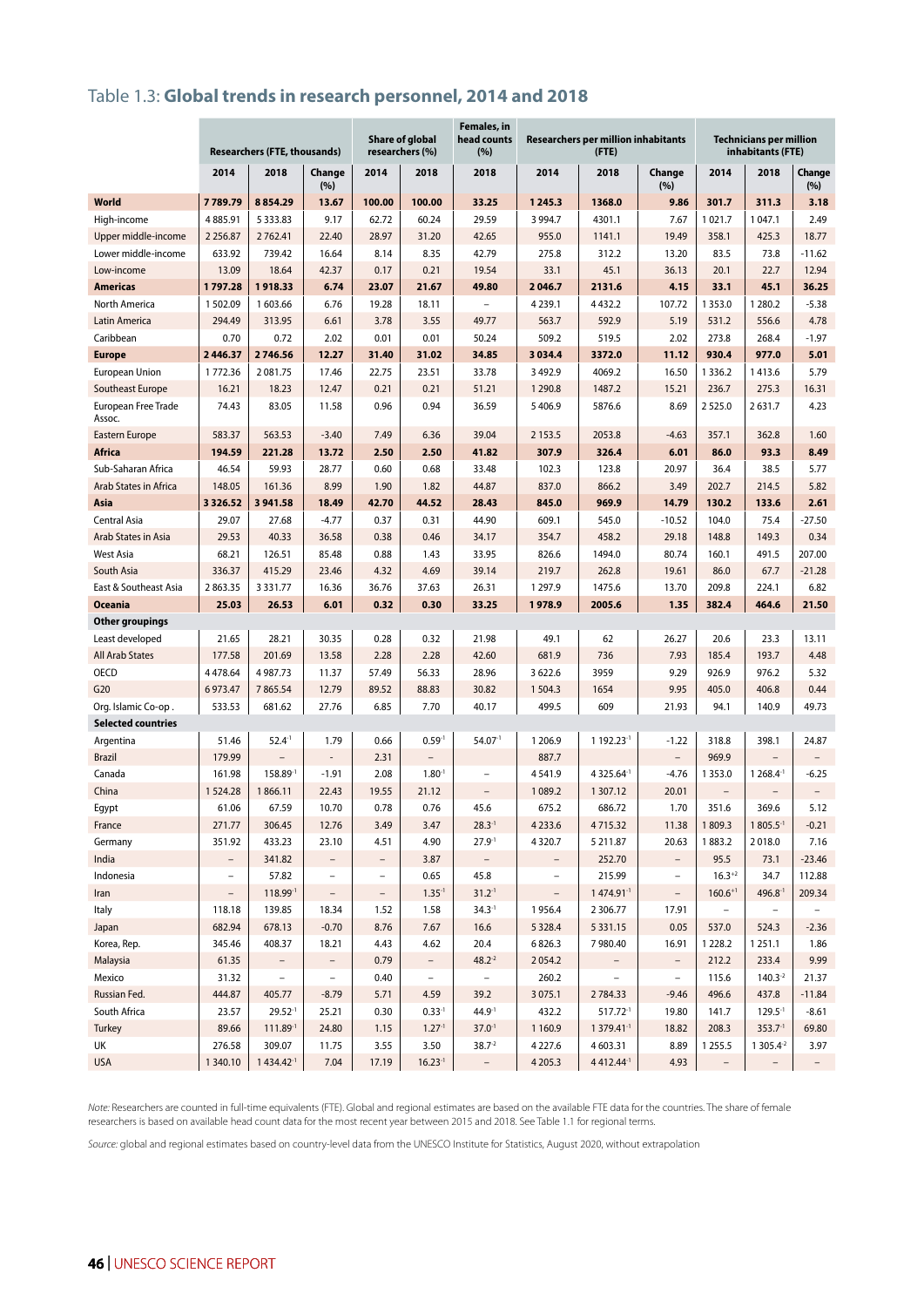# Table 1.3: **Global trends in research personnel, 2014 and 2018**

|                                           | <b>Researchers (FTE, thousands)</b> |                       | Share of global<br>researchers (%) |                          | Females, in<br>head counts<br>(%) |                          | <b>Researchers per million inhabitants</b><br>(FTE) | <b>Technicians per million</b><br>inhabitants (FTE) |                          |                          |                |                          |
|-------------------------------------------|-------------------------------------|-----------------------|------------------------------------|--------------------------|-----------------------------------|--------------------------|-----------------------------------------------------|-----------------------------------------------------|--------------------------|--------------------------|----------------|--------------------------|
|                                           | 2014                                | 2018                  | Change<br>(%)                      | 2014                     | 2018                              | 2018                     | 2014                                                | 2018                                                | Change<br>(%)            | 2014                     | 2018           | Change<br>(%)            |
| World                                     | 7789.79                             | 8854.29               | 13.67                              | 100.00                   | 100.00                            | 33.25                    | 1245.3                                              | 1368.0                                              | 9.86                     | 301.7                    | 311.3          | 3.18                     |
| High-income                               | 4885.91                             | 5 3 3 3 . 8 3         | 9.17                               | 62.72                    | 60.24                             | 29.59                    | 3 9 9 4.7                                           | 4301.1                                              | 7.67                     | 1021.7                   | 1 047.1        | 2.49                     |
| Upper middle-income                       | 2 2 5 6.87                          | 2762.41               | 22.40                              | 28.97                    | 31.20                             | 42.65                    | 955.0                                               | 1141.1                                              | 19.49                    | 358.1                    | 425.3          | 18.77                    |
| Lower middle-income                       | 633.92                              | 739.42                | 16.64                              | 8.14                     | 8.35                              | 42.79                    | 275.8                                               | 312.2                                               | 13.20                    | 83.5                     | 73.8           | $-11.62$                 |
| Low-income                                | 13.09                               | 18.64                 | 42.37                              | 0.17                     | 0.21                              | 19.54                    | 33.1                                                | 45.1                                                | 36.13                    | 20.1                     | 22.7           | 12.94                    |
| <b>Americas</b>                           | 1797.28                             | 1918.33               | 6.74                               | 23.07                    | 21.67                             | 49.80                    | 2046.7                                              | 2131.6                                              | 4.15                     | 33.1                     | 45.1           | 36.25                    |
| North America                             | 1502.09                             | 1 603.66              | 6.76                               | 19.28                    | 18.11                             | $\overline{a}$           | 4 2 3 9 . 1                                         | 4 4 3 2.2                                           | 107.72                   | 1 3 5 3 . 0              | 1 2 8 0.2      | $-5.38$                  |
| Latin America                             | 294.49                              | 313.95                | 6.61                               | 3.78                     | 3.55                              | 49.77                    | 563.7                                               | 592.9                                               | 5.19                     | 531.2                    | 556.6          | 4.78                     |
| Caribbean                                 | 0.70                                | 0.72                  | 2.02                               | 0.01                     | 0.01                              | 50.24                    | 509.2                                               | 519.5                                               | 2.02                     | 273.8                    | 268.4          | $-1.97$                  |
| <b>Europe</b>                             | 2446.37                             | 2746.56               | 12.27                              | 31.40                    | 31.02                             | 34.85                    | 3034.4                                              | 3372.0                                              | 11.12                    | 930.4                    | 977.0          | 5.01                     |
| European Union                            | 1772.36                             | 2081.75               | 17.46                              | 22.75                    | 23.51                             | 33.78                    | 3 4 9 2.9                                           | 4069.2                                              | 16.50                    | 1 3 3 6.2                | 1413.6         | 5.79                     |
| Southeast Europe                          | 16.21                               | 18.23                 | 12.47                              | 0.21                     | 0.21                              | 51.21                    | 1 2 9 0.8                                           | 1487.2                                              | 15.21                    | 236.7                    | 275.3          | 16.31                    |
| European Free Trade<br>Assoc.             | 74.43                               | 83.05                 | 11.58                              | 0.96                     | 0.94                              | 36.59                    | 5406.9                                              | 5876.6                                              | 8.69                     | 2525.0                   | 2631.7         | 4.23                     |
| <b>Eastern Europe</b>                     | 583.37                              | 563.53                | $-3.40$                            | 7.49                     | 6.36                              | 39.04                    | 2 1 5 3 . 5                                         | 2053.8                                              | $-4.63$                  | 357.1                    | 362.8          | 1.60                     |
| <b>Africa</b>                             | 194.59                              | 221.28                | 13.72                              | 2.50                     | 2.50                              | 41.82                    | 307.9                                               | 326.4                                               | 6.01                     | 86.0                     | 93.3           | 8.49                     |
| Sub-Saharan Africa                        | 46.54                               | 59.93                 | 28.77                              | 0.60                     | 0.68                              | 33.48                    | 102.3                                               | 123.8                                               | 20.97                    | 36.4                     | 38.5           | 5.77                     |
| Arab States in Africa                     | 148.05                              | 161.36                | 8.99                               | 1.90                     | 1.82                              | 44.87                    | 837.0                                               | 866.2                                               | 3.49                     | 202.7                    | 214.5          | 5.82                     |
| Asia                                      | 3 3 2 6 .5 2                        | 3 941.58              | 18.49                              | 42.70                    | 44.52                             | 28.43                    | 845.0                                               | 969.9                                               | 14.79                    | 130.2                    | 133.6          | 2.61                     |
| <b>Central Asia</b>                       | 29.07                               | 27.68                 | $-4.77$                            | 0.37                     | 0.31                              | 44.90                    | 609.1                                               | 545.0                                               | $-10.52$                 | 104.0                    | 75.4           | $-27.50$                 |
| Arab States in Asia                       | 29.53                               | 40.33                 | 36.58                              | 0.38                     | 0.46                              | 34.17                    | 354.7                                               | 458.2                                               | 29.18                    | 148.8                    | 149.3          | 0.34                     |
| <b>West Asia</b>                          | 68.21                               | 126.51                | 85.48                              | 0.88                     | 1.43                              | 33.95                    | 826.6                                               | 1494.0                                              | 80.74                    | 160.1                    | 491.5          | 207.00                   |
| South Asia                                | 336.37                              | 415.29                | 23.46                              | 4.32                     | 4.69                              | 39.14                    | 219.7                                               | 262.8                                               | 19.61                    | 86.0                     | 67.7           | $-21.28$                 |
| East & Southeast Asia                     | 2863.35                             | 3 3 3 1 . 7 7         | 16.36                              | 36.76                    | 37.63                             | 26.31                    | 1 297.9                                             | 1475.6                                              | 13.70                    | 209.8                    | 224.1          | 6.82                     |
| <b>Oceania</b>                            | 25.03                               | 26.53                 | 6.01                               | 0.32                     | 0.30                              | 33.25                    | 1978.9                                              | 2005.6                                              | 1.35                     | 382.4                    | 464.6          | 21.50                    |
| Other groupings                           | 21.65                               | 28.21                 | 30.35                              | 0.28                     | 0.32                              | 21.98                    | 49.1                                                | 62                                                  | 26.27                    | 20.6                     | 23.3           | 13.11                    |
| Least developed<br><b>All Arab States</b> | 177.58                              | 201.69                | 13.58                              | 2.28                     | 2.28                              | 42.60                    | 681.9                                               | 736                                                 | 7.93                     | 185.4                    | 193.7          | 4.48                     |
| <b>OECD</b>                               | 4478.64                             | 4 987.73              | 11.37                              | 57.49                    | 56.33                             | 28.96                    | 3 6 2 2.6                                           | 3959                                                | 9.29                     | 926.9                    | 976.2          | 5.32                     |
| G20                                       | 6973.47                             | 7865.54               | 12.79                              | 89.52                    | 88.83                             | 30.82                    | 1504.3                                              | 1654                                                | 9.95                     | 405.0                    | 406.8          | 0.44                     |
| Org. Islamic Co-op.                       | 533.53                              | 681.62                | 27.76                              | 6.85                     | 7.70                              | 40.17                    | 499.5                                               | 609                                                 | 21.93                    | 94.1                     | 140.9          | 49.73                    |
| <b>Selected countries</b>                 |                                     |                       |                                    |                          |                                   |                          |                                                     |                                                     |                          |                          |                |                          |
| Argentina                                 | 51.46                               | $52.4^{-1}$           | 1.79                               | 0.66                     | $0.59-1$                          | $54.07-1$                | 1 206.9                                             | 1 192.23-1                                          | $-1.22$                  | 318.8                    | 398.1          | 24.87                    |
| <b>Brazil</b>                             | 179.99                              |                       | $\qquad \qquad \blacksquare$       | 2.31                     |                                   |                          | 887.7                                               |                                                     | $\overline{\phantom{0}}$ | 969.9                    |                | $\overline{\phantom{a}}$ |
| Canada                                    | 161.98                              | 158.89-1              | $-1.91$                            | 2.08                     | $1.80-1$                          | $\overline{a}$           | 4541.9                                              | 4 3 2 5 . 6 4 <sup>- 1</sup>                        | $-4.76$                  | 1 3 5 3 .0               | 1 268.4-1      | $-6.25$                  |
| China                                     | 1524.28                             | 1866.11               | 22.43                              | 19.55                    | 21.12                             | $\overline{\phantom{a}}$ | 1089.2                                              | 1307.12                                             | 20.01                    | $\overline{\phantom{a}}$ |                | $\overline{\phantom{a}}$ |
| Egypt                                     | 61.06                               | 67.59                 | 10.70                              | 0.78                     | 0.76                              | 45.6                     | 675.2                                               | 686.72                                              | 1.70                     | 351.6                    | 369.6          | 5.12                     |
| France                                    | 271.77                              | 306.45                | 12.76                              | 3.49                     | 3.47                              | $28.3 - 1$               | 4 2 3 3.6                                           | 4715.32                                             | 11.38                    | 1809.3                   | $1805.5-1$     | $-0.21$                  |
| Germany                                   | 351.92                              | 433.23                | 23.10                              | 4.51                     | 4.90                              | $27.9^{-1}$              | 4320.7                                              | 5 211.87                                            | 20.63                    | 1883.2                   | 2018.0         | 7.16                     |
| India                                     | $\overline{\phantom{0}}$            | 341.82                | $\overline{\phantom{0}}$           | $\qquad \qquad -$        | 3.87                              |                          |                                                     | 252.70                                              | $\overline{\phantom{0}}$ | 95.5                     | 73.1           | $-23.46$                 |
| Indonesia                                 | $\overline{a}$                      | 57.82                 | $\overline{\phantom{a}}$           | $\overline{\phantom{0}}$ | 0.65                              | 45.8                     | $\overline{a}$                                      | 215.99                                              | $\overline{\phantom{0}}$ | $16.3 + 2$               | 34.7           | 112.88                   |
| Iran                                      | $\overline{\phantom{a}}$            | 118.99-1              | $\qquad \qquad -$                  | $\overline{\phantom{a}}$ | $1.35-1$                          | $31.2^{-1}$              | $\overline{\phantom{a}}$                            | 1 474.91-1                                          | $\overline{\phantom{0}}$ | $160.6^{+1}$             | 496.8-1        | 209.34                   |
| Italy                                     | 118.18                              | 139.85                | 18.34                              | 1.52                     | 1.58                              | $34.3-1$                 | 1956.4                                              | 2 3 0 6.77                                          | 17.91                    | $\qquad \qquad -$        |                |                          |
| Japan                                     | 682.94                              | 678.13                | $-0.70$                            | 8.76                     | 7.67                              | 16.6                     | 5 3 2 8.4                                           | 5 3 3 1 . 1 5                                       | 0.05                     | 537.0                    | 524.3          | $-2.36$                  |
| Korea, Rep.                               | 345.46                              | 408.37                | 18.21                              | 4.43                     | 4.62                              | 20.4                     | 6826.3                                              | 7980.40                                             | 16.91                    | 1 2 2 8.2                | 1 2 5 1 . 1    | 1.86                     |
| Malaysia                                  | 61.35                               |                       | $\overline{\phantom{0}}$           | 0.79                     |                                   | $48.2 - 2$               | 2054.2                                              |                                                     | $\overline{\phantom{0}}$ | 212.2                    | 233.4          | 9.99                     |
| Mexico                                    | 31.32                               | $\overline{a}$        | $\overline{a}$                     | 0.40                     | $\overline{\phantom{a}}$          | $\overline{\phantom{a}}$ | 260.2                                               | $\overline{\phantom{0}}$                            | $\overline{\phantom{a}}$ | 115.6                    | $140.3 - 2$    | 21.37                    |
| Russian Fed.                              | 444.87                              | 405.77                | $-8.79$                            | 5.71                     | 4.59                              | 39.2                     | 3 0 7 5 .1                                          | 2784.33                                             | $-9.46$                  | 496.6                    | 437.8          | $-11.84$                 |
| South Africa                              | 23.57                               | $29.52 - 1$           | 25.21                              | 0.30                     | $0.33-1$                          | $44.9-1$                 | 432.2                                               | $517.72^{-1}$                                       | 19.80                    | 141.7                    | $129.5 -$      | $-8.61$                  |
| Turkey                                    | 89.66                               | 111.89-1              | 24.80                              | 1.15                     | $1.27-1$                          | $37.0^{-1}$              | 1 1 6 0.9                                           | 1 379.41-1                                          | 18.82                    | 208.3                    | $353.7 - 1$    | 69.80                    |
| UK                                        | 276.58                              | 309.07                | 11.75                              | 3.55                     | 3.50                              | $38.7 - 2$               | 4 2 2 7.6                                           | 4603.31                                             | 8.89                     | 1255.5                   | 1 3 0 5.4 $-2$ | 3.97                     |
| <b>USA</b>                                | 1 340.10                            | 1434.42 <sup>-1</sup> | 7.04                               | 17.19                    | $16.23-1$                         | $\overline{\phantom{a}}$ | 4 2 0 5 .3                                          | 4 4 1 2.4 4 <sup>-1</sup>                           | 4.93                     | $\overline{\phantom{a}}$ |                | $\overline{\phantom{a}}$ |

*Note:* Researchers are counted in full-time equivalents (FTE). Global and regional estimates are based on the available FTE data for the countries. The share of female researchers is based on available head count data for the most recent year between 2015 and 2018. See Table 1.1 for regional terms.

*Source:* global and regional estimates based on country-level data from the UNESCO Institute for Statistics, August 2020, without extrapolation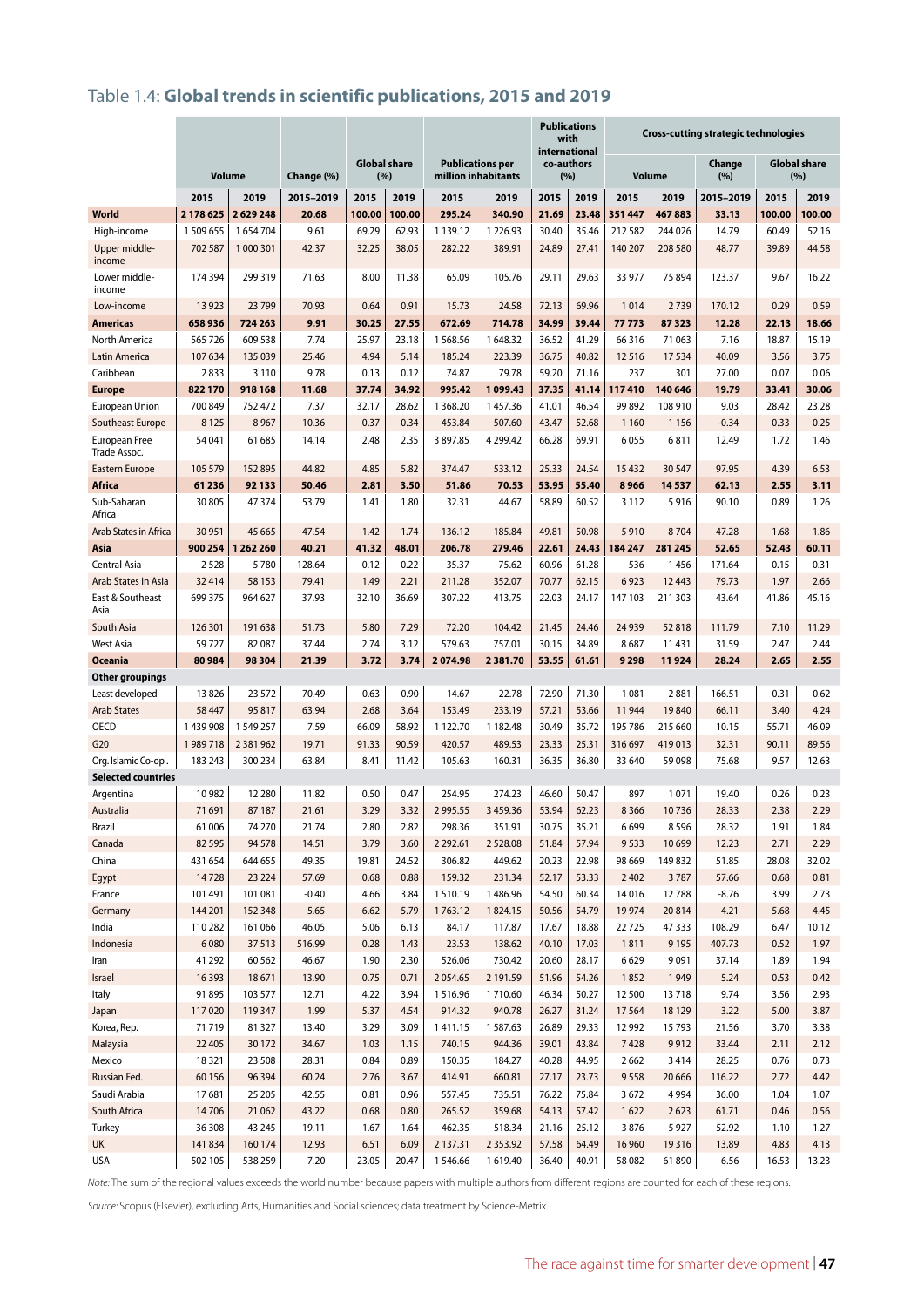# Table 1.4: **Global trends in scientific publications, 2015 and 2019**

|                                      |           |               |            |        |                     |                         |               | with                        | <b>Publications</b> | <b>Cross-cutting strategic technologies</b> |         |           |        |                     |
|--------------------------------------|-----------|---------------|------------|--------|---------------------|-------------------------|---------------|-----------------------------|---------------------|---------------------------------------------|---------|-----------|--------|---------------------|
|                                      |           |               |            |        | <b>Global share</b> | <b>Publications per</b> |               | international<br>co-authors |                     |                                             |         | Change    |        | <b>Global share</b> |
|                                      |           | Volume        | Change (%) | (%)    |                     | million inhabitants     |               |                             | (%)                 | <b>Volume</b>                               |         | (%)       | (%)    |                     |
|                                      | 2015      | 2019          | 2015-2019  | 2015   | 2019                | 2015                    | 2019          | 2015                        | 2019                | 2015                                        | 2019    | 2015-2019 | 2015   | 2019                |
| <b>World</b>                         | 2178625   | 2629248       | 20.68      | 100.00 | 100.00              | 295.24                  | 340.90        | 21.69                       | 23.48               | 351 447                                     | 467883  | 33.13     | 100.00 | 100.00              |
| High-income                          | 1 509 655 | 1654704       | 9.61       | 69.29  | 62.93               | 1 1 3 9 . 1 2           | 1226.93       | 30.40                       | 35.46               | 212582                                      | 244 026 | 14.79     | 60.49  | 52.16               |
| Upper middle-<br>income              | 702 587   | 1 000 301     | 42.37      | 32.25  | 38.05               | 282.22                  | 389.91        | 24.89                       | 27.41               | 140 207                                     | 208 580 | 48.77     | 39.89  | 44.58               |
| Lower middle-<br>income              | 174 394   | 299 319       | 71.63      | 8.00   | 11.38               | 65.09                   | 105.76        | 29.11                       | 29.63               | 33 977                                      | 75 894  | 123.37    | 9.67   | 16.22               |
| Low-income                           | 13923     | 23 7 9 9      | 70.93      | 0.64   | 0.91                | 15.73                   | 24.58         | 72.13                       | 69.96               | 1014                                        | 2739    | 170.12    | 0.29   | 0.59                |
| <b>Americas</b>                      | 658936    | 724 263       | 9.91       | 30.25  | 27.55               | 672.69                  | 714.78        | 34.99                       | 39.44               | 77773                                       | 87323   | 12.28     | 22.13  | 18.66               |
| North America                        | 565726    | 609 538       | 7.74       | 25.97  | 23.18               | 1568.56                 | 1648.32       | 36.52                       | 41.29               | 66 316                                      | 71 063  | 7.16      | 18.87  | 15.19               |
| <b>Latin America</b>                 | 107634    | 135 039       | 25.46      | 4.94   | 5.14                | 185.24                  | 223.39        | 36.75                       | 40.82               | 12516                                       | 17534   | 40.09     | 3.56   | 3.75                |
| Caribbean                            | 2833      | 3 1 1 0       | 9.78       | 0.13   | 0.12                | 74.87                   | 79.78         | 59.20                       | 71.16               | 237                                         | 301     | 27.00     | 0.07   | 0.06                |
| <b>Europe</b>                        | 822170    | 918 168       | 11.68      | 37.74  | 34.92               | 995.42                  | 1099.43       | 37.35                       | 41.14               | 117410                                      | 140 646 | 19.79     | 33.41  | 30.06               |
| <b>European Union</b>                | 700 849   | 752 472       | 7.37       | 32.17  | 28.62               | 1 3 68.20               | 1457.36       | 41.01                       | 46.54               | 99892                                       | 108 910 | 9.03      | 28.42  | 23.28               |
| Southeast Europe                     | 8 1 2 5   | 8 9 6 7       | 10.36      | 0.37   | 0.34                | 453.84                  | 507.60        | 43.47                       | 52.68               | 1 1 6 0                                     | 1156    | $-0.34$   | 0.33   | 0.25                |
| <b>European Free</b><br>Trade Assoc. | 54 041    | 61 685        | 14.14      | 2.48   | 2.35                | 3897.85                 | 4 299.42      | 66.28                       | 69.91               | 6055                                        | 6811    | 12.49     | 1.72   | 1.46                |
| Eastern Europe                       | 105 579   | 152895        | 44.82      | 4.85   | 5.82                | 374.47                  | 533.12        | 25.33                       | 24.54               | 15432                                       | 30 547  | 97.95     | 4.39   | 6.53                |
| <b>Africa</b>                        | 61 236    | 92 133        | 50.46      | 2.81   | 3.50                | 51.86                   | 70.53         | 53.95                       | 55.40               | 8966                                        | 14537   | 62.13     | 2.55   | 3.11                |
| Sub-Saharan<br>Africa                | 30 805    | 47374         | 53.79      | 1.41   | 1.80                | 32.31                   | 44.67         | 58.89                       | 60.52               | 3 1 1 2                                     | 5916    | 90.10     | 0.89   | 1.26                |
| Arab States in Africa                | 30 951    | 45 6 65       | 47.54      | 1.42   | 1.74                | 136.12                  | 185.84        | 49.81                       | 50.98               | 5910                                        | 8704    | 47.28     | 1.68   | 1.86                |
| Asia                                 | 900 254   | 1262260       | 40.21      | 41.32  | 48.01               | 206.78                  | 279.46        | 22.61                       | 24.43               | 184 247                                     | 281 245 | 52.65     | 52.43  | 60.11               |
| Central Asia                         | 2528      | 5780          | 128.64     | 0.12   | 0.22                | 35.37                   | 75.62         | 60.96                       | 61.28               | 536                                         | 1456    | 171.64    | 0.15   | 0.31                |
| Arab States in Asia                  | 32 4 14   | 58 1 53       | 79.41      | 1.49   | 2.21                | 211.28                  | 352.07        | 70.77                       | 62.15               | 6923                                        | 12 4 43 | 79.73     | 1.97   | 2.66                |
| East & Southeast<br>Asia             | 699 375   | 964 627       | 37.93      | 32.10  | 36.69               | 307.22                  | 413.75        | 22.03                       | 24.17               | 147 103                                     | 211 303 | 43.64     | 41.86  | 45.16               |
| South Asia                           | 126 301   | 191 638       | 51.73      | 5.80   | 7.29                | 72.20                   | 104.42        | 21.45                       | 24.46               | 24 9 39                                     | 52818   | 111.79    | 7.10   | 11.29               |
| <b>West Asia</b>                     | 59727     | 82 087        | 37.44      | 2.74   | 3.12                | 579.63                  | 757.01        | 30.15                       | 34.89               | 8687                                        | 11 431  | 31.59     | 2.47   | 2.44                |
| <b>Oceania</b>                       | 80984     | 98 304        | 21.39      | 3.72   | 3.74                | 2074.98                 | 2381.70       | 53.55                       | 61.61               | 9 2 9 8                                     | 11924   | 28.24     | 2.65   | 2.55                |
| Other groupings                      |           |               |            |        |                     |                         |               |                             |                     |                                             |         |           |        |                     |
| Least developed                      | 13826     | 23 5 72       | 70.49      | 0.63   | 0.90                | 14.67                   | 22.78         | 72.90                       | 71.30               | 1081                                        | 2881    | 166.51    | 0.31   | 0.62                |
| <b>Arab States</b>                   | 58 447    | 95817         | 63.94      | 2.68   | 3.64                | 153.49                  | 233.19        | 57.21                       | 53.66               | 11944                                       | 19840   | 66.11     | 3.40   | 4.24                |
| <b>OECD</b>                          | 1 439 908 | 1549257       | 7.59       | 66.09  | 58.92               | 1122.70                 | 1182.48       | 30.49                       | 35.72               | 195 786                                     | 215 660 | 10.15     | 55.71  | 46.09               |
| G20                                  | 1989718   | 2 3 8 1 9 6 2 | 19.71      | 91.33  | 90.59               | 420.57                  | 489.53        | 23.33                       | 25.31               | 316 697                                     | 419013  | 32.31     | 90.11  | 89.56               |
| Org. Islamic Co-op.                  | 183 243   | 300 234       | 63.84      | 8.41   | 11.42               | 105.63                  | 160.31        | 36.35                       | 36.80               | 33 640                                      | 59 098  | 75.68     | 9.57   | 12.63               |
| <b>Selected countries</b>            |           |               |            |        |                     |                         |               |                             |                     |                                             |         |           |        |                     |
| Argentina                            | 10982     | 12 2 8 0      | 11.82      | 0.50   | 0.47                | 254.95                  | 274.23        | 46.60                       | 50.47               | 897                                         | 1071    | 19.40     | 0.26   | 0.23                |
| Australia                            | 71691     | 87 187        | 21.61      | 3.29   | 3.32                | 2995.55                 | 3 4 5 9.36    | 53.94                       | 62.23               | 8 3 6 6                                     | 10736   | 28.33     | 2.38   | 2.29                |
| Brazil                               | 61006     | 74 270        | 21.74      | 2.80   | 2.82                | 298.36                  | 351.91        | 30.75                       | 35.21               | 6699                                        | 8596    | 28.32     | 1.91   | 1.84                |
| Canada                               | 82 5 95   | 94 578        | 14.51      | 3.79   | 3.60                | 2 2 9 2 . 6 1           | 2528.08       | 51.84                       | 57.94               | 9533                                        | 10 699  | 12.23     | 2.71   | 2.29                |
| China                                | 431 654   | 644 655       | 49.35      | 19.81  | 24.52               | 306.82                  | 449.62        | 20.23                       | 22.98               | 98 669                                      | 149832  | 51.85     | 28.08  | 32.02               |
| Egypt                                | 14728     | 23 2 24       | 57.69      | 0.68   | 0.88                | 159.32                  | 231.34        | 52.17                       | 53.33               | 2 4 0 2                                     | 3787    | 57.66     | 0.68   | 0.81                |
| France                               | 101 491   | 101 081       | $-0.40$    | 4.66   | 3.84                | 1510.19                 | 1486.96       | 54.50                       | 60.34               | 14016                                       | 12788   | $-8.76$   | 3.99   | 2.73                |
| Germany                              | 144 201   | 152 348       | 5.65       | 6.62   | 5.79                | 1763.12                 | 1824.15       | 50.56                       | 54.79               | 19974                                       | 20814   | 4.21      | 5.68   | 4.45                |
| India                                | 110 282   | 161 066       | 46.05      | 5.06   | 6.13                | 84.17                   | 117.87        | 17.67                       | 18.88               | 22725                                       | 47333   | 108.29    | 6.47   | 10.12               |
| Indonesia                            | 6080      | 37513         | 516.99     | 0.28   | 1.43                | 23.53                   | 138.62        | 40.10                       | 17.03               | 1811                                        | 9 1 9 5 | 407.73    | 0.52   | 1.97                |
| Iran                                 | 41 29 2   | 60 5 62       | 46.67      | 1.90   | 2.30                | 526.06                  | 730.42        | 20.60                       | 28.17               | 6629                                        | 9091    | 37.14     | 1.89   | 1.94                |
| Israel                               | 16 3 93   | 18671         | 13.90      | 0.75   | 0.71                | 2054.65                 | 2 191.59      | 51.96                       | 54.26               | 1852                                        | 1949    | 5.24      | 0.53   | 0.42                |
| Italy                                | 91 895    | 103 577       | 12.71      | 4.22   | 3.94                | 1516.96                 | 1710.60       | 46.34                       | 50.27               | 12500                                       | 13718   | 9.74      | 3.56   | 2.93                |
| Japan                                | 117020    | 119 347       | 1.99       | 5.37   | 4.54                | 914.32                  | 940.78        | 26.27                       | 31.24               | 17564                                       | 18 1 29 | 3.22      | 5.00   | 3.87                |
| Korea, Rep.                          | 71719     | 81327         | 13.40      | 3.29   | 3.09                | 1411.15                 | 1587.63       | 26.89                       | 29.33               | 12992                                       | 15793   | 21.56     | 3.70   | 3.38                |
| Malaysia                             | 22 405    | 30172         | 34.67      | 1.03   | 1.15                | 740.15                  | 944.36        | 39.01                       | 43.84               | 7428                                        | 9912    | 33.44     | 2.11   | 2.12                |
| Mexico                               | 18321     | 23 508        | 28.31      | 0.84   | 0.89                | 150.35                  | 184.27        | 40.28                       | 44.95               | 2662                                        | 3414    | 28.25     | 0.76   | 0.73                |
| Russian Fed.                         | 60156     | 96 3 94       | 60.24      | 2.76   | 3.67                | 414.91                  | 660.81        | 27.17                       | 23.73               | 9558                                        | 20 6 66 | 116.22    | 2.72   | 4.42                |
| Saudi Arabia                         | 17681     | 25 205        | 42.55      | 0.81   | 0.96                | 557.45                  | 735.51        | 76.22                       | 75.84               | 3672                                        | 4 9 9 4 | 36.00     | 1.04   | 1.07                |
| South Africa                         | 14706     | 21 062        | 43.22      | 0.68   | 0.80                | 265.52                  | 359.68        | 54.13                       | 57.42               | 1622                                        | 2623    | 61.71     | 0.46   | 0.56                |
| Turkey                               | 36 308    | 43 245        | 19.11      | 1.67   | 1.64                | 462.35                  | 518.34        | 21.16                       | 25.12               | 3876                                        | 5927    | 52.92     | 1.10   | 1.27                |
| UK                                   | 141834    | 160 174       | 12.93      | 6.51   | 6.09                | 2 137.31                | 2 3 5 3 . 9 2 | 57.58                       | 64.49               | 16 960                                      | 19316   | 13.89     | 4.83   | 4.13                |
| USA                                  | 502 105   | 538 259       | 7.20       | 23.05  | 20.47               | 1546.66                 | 1619.40       | 36.40                       | 40.91               | 58 082                                      | 61890   | 6.56      | 16.53  | 13.23               |

*Note:* The sum of the regional values exceeds the world number because papers with multiple authors from different regions are counted for each of these regions.

*Source:* Scopus (Elsevier), excluding Arts, Humanities and Social sciences; data treatment by Science-Metrix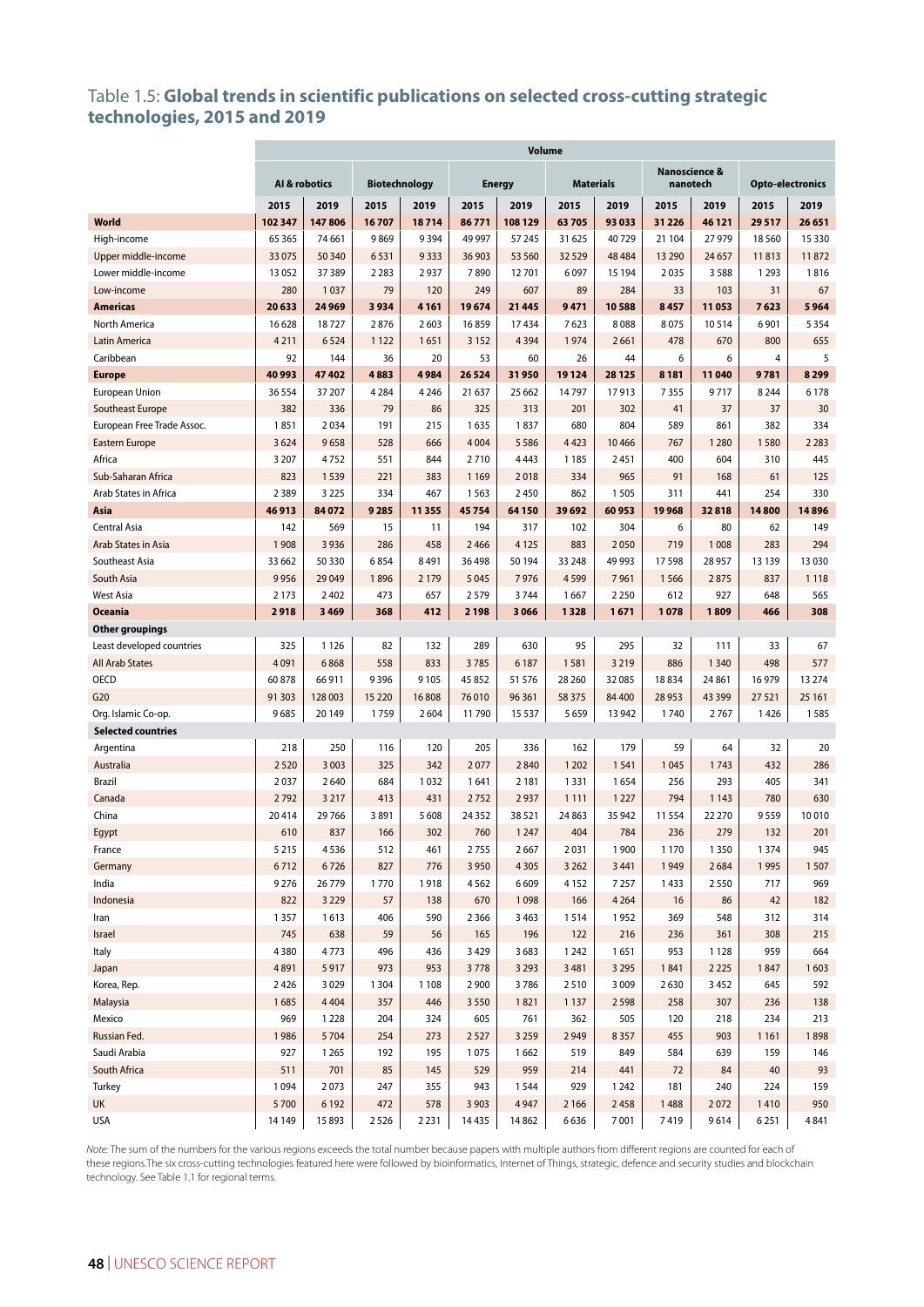#### Table 1.5: **Global trends in scientific publications on selected cross-cutting strategic technologies, 2015 and 2019**

|                                                  | <b>Volume</b>   |                   |                      |               |                 |                   |                  |         |                           |                  |                 |                         |  |
|--------------------------------------------------|-----------------|-------------------|----------------------|---------------|-----------------|-------------------|------------------|---------|---------------------------|------------------|-----------------|-------------------------|--|
|                                                  |                 | Al & robotics     | <b>Biotechnology</b> |               |                 | <b>Energy</b>     | <b>Materials</b> |         | Nanoscience &<br>nanotech |                  |                 | <b>Opto-electronics</b> |  |
|                                                  | 2015            | 2019              | 2015                 | 2019          | 2015            | 2019              | 2015             | 2019    | 2015                      | 2019             | 2015            | 2019                    |  |
| <b>World</b>                                     | 102 347         | 147806            | 16707                | 18714         | 86771           | 108 129           | 63705            | 93 033  | 31 2 26                   | 46 121           | 29517           | 26 651                  |  |
| High-income                                      | 65 3 65         | 74 661            | 9869                 | 9394          | 49 997          | 57 245            | 31 625           | 40729   | 21 104                    | 27 979           | 18 5 60         | 15 3 30                 |  |
| Upper middle-income                              | 33 0 75         | 50 340            | 6531                 | 9333          | 36 903          | 53 560            | 32529            | 48 4 84 | 13 290                    | 24 657           | 11813           | 11872                   |  |
| Lower middle-income                              | 13 052          | 37389             | 2 2 8 3              | 2937          | 7890            | 12701             | 6097             | 15 194  | 2035                      | 3588             | 1 2 9 3         | 1816                    |  |
| Low-income                                       | 280             | 1037              | 79                   | 120           | 249             | 607               | 89               | 284     | 33                        | 103              | 31              | 67                      |  |
| <b>Americas</b>                                  | 20 633          | 24 9 69           | 3934                 | 4 1 6 1       | 19674           | 21 4 4 5          | 9471             | 10588   | 8457                      | 11053            | 7623            | 5964                    |  |
| North America                                    | 16 628          | 18727             | 2876                 | 2603          | 16859           | 17434             | 7623             | 8088    | 8075                      | 10514            | 6901            | 5 3 5 4                 |  |
| Latin America                                    | 4 2 1 1         | 6524              | 1 1 2 2              | 1651          | 3 1 5 2         | 4394              | 1974             | 2661    | 478                       | 670              | 800             | 655                     |  |
| Caribbean                                        | 92              | 144               | 36                   | 20            | 53              | 60                | 26               | 44      | 6                         | 6                | 4               | 5                       |  |
| <b>Europe</b>                                    | 40 993          | 47 402            | 4883                 | 4984          | 26 5 24         | 31950             | 19124            | 28 1 25 | 8 1 8 1                   | 11040            | 9781            | 8 2 9 9                 |  |
| <b>European Union</b>                            | 36 554          | 37 207            | 4 2 8 4              | 4 2 4 6       | 21 637          | 25 662            | 14797            | 17913   | 7355                      | 9717             | 8 2 4 4         | 6 1 7 8                 |  |
| Southeast Europe                                 | 382             | 336               | 79                   | 86            | 325             | 313               | 201              | 302     | 41                        | 37               | 37              | 30                      |  |
| European Free Trade Assoc.                       | 1851            | 2034              | 191                  | 215           | 1635            | 1837              | 680              | 804     | 589                       | 861              | 382             | 334                     |  |
| Eastern Europe                                   | 3624            | 9658              | 528                  | 666           | 4 0 0 4         | 5 5 8 6           | 4423             | 10 4 66 | 767                       | 1 2 8 0          | 1580            | 2 2 8 3                 |  |
| Africa                                           | 3 2 0 7         | 4752              | 551                  | 844           | 2710            | 4443              | 1 1 8 5          | 2451    | 400                       | 604              | 310             | 445                     |  |
| Sub-Saharan Africa                               | 823             | 1539              | 221                  | 383           | 1 1 6 9         | 2018              | 334              | 965     | 91                        | 168              | 61              | 125                     |  |
| Arab States in Africa                            | 2389            | 3 2 2 5           | 334                  | 467           | 1563            | 2450              | 862              | 1505    | 311                       | 441              | 254             | 330                     |  |
| Asia                                             | 46913           | 84 072            | 9285                 | 11355         | 45754           | 64 150            | 39 692           | 60953   | 19968                     | 32818            | 14800           | 14896                   |  |
| Central Asia                                     | 142             | 569               | 15                   | 11            | 194             | 317               | 102              | 304     | 6                         | 80               | 62              | 149                     |  |
| Arab States in Asia                              | 1908            | 3 9 3 6           | 286                  | 458           | 2466            | 4 1 2 5           | 883              | 2050    | 719                       | 1 0 0 8          | 283             | 294                     |  |
| Southeast Asia                                   | 33 662          | 50 330            | 6854                 | 8 4 9 1       | 36498           | 50 194            | 33 248           | 49 993  | 17598                     | 28 957           | 13 139          | 13 0 30                 |  |
| South Asia                                       | 9956            | 29049             | 1896                 | 2 1 7 9       | 5 0 4 5         | 7976              | 4599             | 7961    | 1566                      | 2875             | 837             | 1118                    |  |
| <b>West Asia</b>                                 | 2 1 7 3         | 2 4 0 2           | 473                  | 657           | 2579            | 3744              | 1667             | 2 2 5 0 | 612                       | 927              | 648             | 565                     |  |
| <b>Oceania</b>                                   | 2918            | 3 4 6 9           | 368                  | 412           | 2 1 9 8         | 3 0 6 6           | 1328             | 1671    | 1078                      | 1809             | 466             | 308                     |  |
| Other groupings                                  |                 |                   |                      |               |                 |                   |                  |         |                           |                  |                 |                         |  |
| Least developed countries                        | 325             | 1126              | 82                   | 132           | 289             | 630               | 95               | 295     | 32                        | 111              | 33              | 67                      |  |
| <b>All Arab States</b>                           | 4091            | 6868              | 558                  | 833           | 3785            | 6 187             | 1581             | 3 2 1 9 | 886                       | 1 3 4 0          | 498             | 577                     |  |
| OECD                                             | 60878           | 66 911            | 9396                 | 9 1 0 5       | 45 852          | 51 576            | 28 260           | 32 085  | 18834                     | 24 861           | 16979           | 13 274                  |  |
| G20                                              | 91 30 3<br>9685 | 128 003<br>20 149 | 15 2 20<br>1759      | 16808<br>2604 | 76 010<br>11790 | 96 361<br>15 5 37 | 58 375<br>5659   | 84 400  | 28 9 53<br>1740           | 43 3 9 9<br>2767 | 27 5 21<br>1426 | 25 161<br>1585          |  |
| Org. Islamic Co-op.<br><b>Selected countries</b> |                 |                   |                      |               |                 |                   |                  | 13 942  |                           |                  |                 |                         |  |
| Argentina                                        | 218             | 250               | 116                  | 120           | 205             | 336               | 162              | 179     | 59                        | 64               | 32              | 20                      |  |
| Australia                                        | 2520            | 3 0 0 3           | 325                  | 342           | 2077            | 2840              | 1 2 0 2          | 1541    | 1045                      | 1743             | 432             | 286                     |  |
| <b>Brazil</b>                                    | 2037            | 2640              | 684                  | 1032          | 1641            | 2 1 8 1           | 1331             | 1654    | 256                       | 293              | 405             | 341                     |  |
| Canada                                           | 2792            | 3 2 1 7           | 413                  | 431           | 2752            | 2937              | 1 1 1 1          | 1 2 2 7 | 794                       | 1 1 4 3          | 780             | 630                     |  |
| China                                            | 20414           | 29 76 6           | 3891                 | 5 6 0 8       | 24 3 52         | 38 5 21           | 24 8 63          | 35 942  | 11554                     | 22 270           | 9559            | 10010                   |  |
| Egypt                                            | 610             | 837               | 166                  | 302           | 760             | 1 2 4 7           | 404              | 784     | 236                       | 279              | 132             | 201                     |  |
| France                                           | 5 2 1 5         | 4536              | 512                  | 461           | 2755            | 2667              | 2031             | 1900    | 1 1 7 0                   | 1350             | 1 3 7 4         | 945                     |  |
| Germany                                          | 6712            | 6726              | 827                  | 776           | 3 9 5 0         | 4 3 0 5           | 3 2 6 2          | 3 4 4 1 | 1949                      | 2684             | 1995            | 1507                    |  |
| India                                            | 9276            | 26 779            | 1770                 | 1918          | 4562            | 6609              | 4152             | 7 2 5 7 | 1433                      | 2550             | 717             | 969                     |  |
| Indonesia                                        | 822             | 3 2 2 9           | 57                   | 138           | 670             | 1098              | 166              | 4 2 6 4 | 16                        | 86               | 42              | 182                     |  |
| Iran                                             | 1 3 5 7         | 1613              | 406                  | 590           | 2 3 6 6         | 3 4 6 3           | 1514             | 1952    | 369                       | 548              | 312             | 314                     |  |
| Israel                                           | 745             | 638               | 59                   | 56            | 165             | 196               | 122              | 216     | 236                       | 361              | 308             | 215                     |  |
| Italy                                            | 4380            | 4773              | 496                  | 436           | 3 4 2 9         | 3683              | 1 2 4 2          | 1651    | 953                       | 1 1 2 8          | 959             | 664                     |  |
| Japan                                            | 4891            | 5917              | 973                  | 953           | 3778            | 3 2 9 3           | 3 4 8 1          | 3 2 9 5 | 1841                      | 2 2 2 5          | 1847            | 1603                    |  |
| Korea, Rep.                                      | 2 4 2 6         | 3029              | 1 3 0 4              | 1 1 0 8       | 2 9 0 0         | 3786              | 2510             | 3 0 0 9 | 2630                      | 3452             | 645             | 592                     |  |
| Malaysia                                         | 1685            | 4 4 0 4           | 357                  | 446           | 3550            | 1821              | 1 1 3 7          | 2598    | 258                       | 307              | 236             | 138                     |  |
| Mexico                                           | 969             | 1 2 2 8           | 204                  | 324           | 605             | 761               | 362              | 505     | 120                       | 218              | 234             | 213                     |  |
| Russian Fed.                                     | 1986            | 5704              | 254                  | 273           | 2527            | 3 2 5 9           | 2949             | 8357    | 455                       | 903              | 1 1 6 1         | 1898                    |  |
| Saudi Arabia                                     | 927             | 1 2 6 5           | 192                  | 195           | 1075            | 1662              | 519              | 849     | 584                       | 639              | 159             | 146                     |  |
| South Africa                                     | 511             | 701               | 85                   | 145           | 529             | 959               | 214              | 441     | 72                        | 84               | 40              | 93                      |  |
| Turkey                                           | 1 0 9 4         | 2073              | 247                  | 355           | 943             | 1544              | 929              | 1 2 4 2 | 181                       | 240              | 224             | 159                     |  |
| UK                                               | 5700            | 6 1 9 2           | 472                  | 578           | 3 9 0 3         | 4947              | 2 1 6 6          | 2458    | 1488                      | 2072             | 1410            | 950                     |  |
| <b>USA</b>                                       | 14149           | 15 893            | 2526                 | 2 2 3 1       | 14435           | 14 8 62           | 6636             | 7001    | 7419                      | 9614             | 6251            | 4841                    |  |
|                                                  |                 |                   |                      |               |                 |                   |                  |         |                           |                  |                 |                         |  |

*Note:* The sum of the numbers for the various regions exceeds the total number because papers with multiple authors from different regions are counted for each of these regions.The six cross-cutting technologies featured here were followed by bioinformatics, Internet of Things, strategic, defence and security studies and blockchain technology. See Table 1.1 for regional terms.